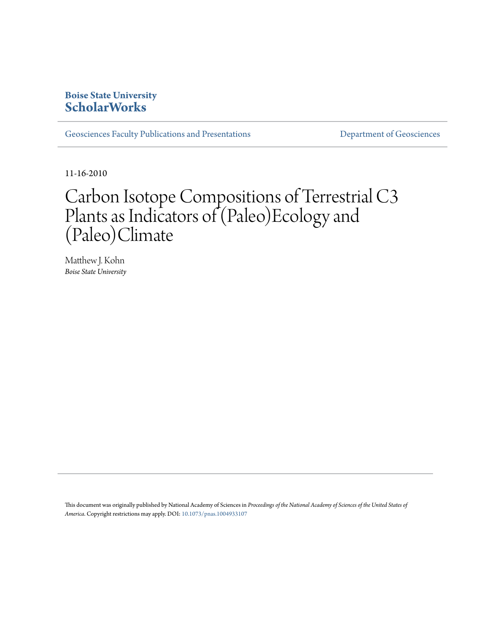### **Boise State University [ScholarWorks](https://scholarworks.boisestate.edu)**

[Geosciences Faculty Publications and Presentations](https://scholarworks.boisestate.edu/geo_facpubs) **Exercise Secure 2018** [Department of Geosciences](https://scholarworks.boisestate.edu/geosciences)

11-16-2010

# Carbon Isotope Compositions of Terrestrial C3 Plants as Indicators of (Paleo)Ecology and (Paleo)Climate

Matthew J. Kohn *Boise State University*

This document was originally published by National Academy of Sciences in *Proceedings of the National Academy of Sciences of the United States of America*. Copyright restrictions may apply. DOI: [10.1073/pnas.1004933107](http://dx.doi.org/10.1073/pnas.1004933107)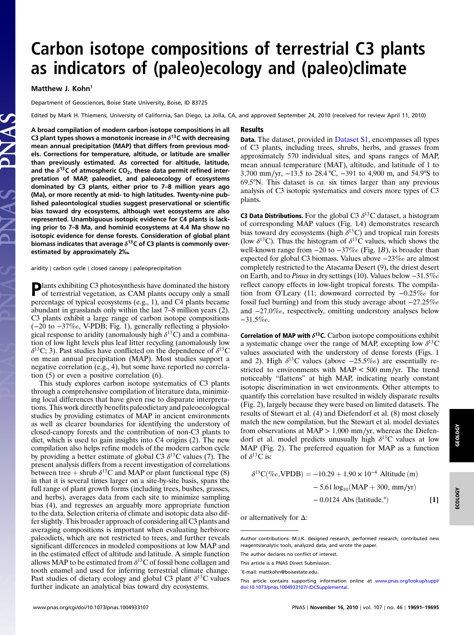## Carbon isotope compositions of terrestrial C3 plants as indicators of (paleo)ecology and (paleo)climate

#### Matthew J. Kohn<sup>1</sup>

Department of Geosciences, Boise State University, Boise, ID 83725

Edited by Mark H. Thiemens, University of California, San Diego, La Jolla, CA, and approved September 24, 2010 (received for review April 11, 2010)

Results

A broad compilation of modern carbon isotope compositions in all C3 plant types shows a monotonic increase in  $\delta^{13}$ C with decreasing mean annual precipitation (MAP) that differs from previous models. Corrections for temperature, altitude, or latitude are smaller than previously estimated. As corrected for altitude, latitude, and the  $\delta^{13}$ C of atmospheric CO<sub>2</sub>, these data permit refined interpretation of MAP, paleodiet, and paleoecology of ecosystems dominated by C3 plants, either prior to 7–8 million years ago (Ma), or more recently at mid- to high latitudes. Twenty-nine published paleontological studies suggest preservational or scientific bias toward dry ecosystems, although wet ecosystems are also represented. Unambiguous isotopic evidence for C4 plants is lacking prior to 7–8 Ma, and hominid ecosystems at 4.4 Ma show no isotopic evidence for dense forests. Consideration of global plant biomass indicates that average  $\delta^{13}$ C of C3 plants is commonly overestimated by approximately 2‰.

aridity ∣ carbon cycle ∣ closed canopy ∣ paleoprecipitation

Plants exhibiting C3 photosynthesis have dominated the history<br>of terrestrial vecessity of terrestrial vegetation, as CAM plants occupy only a small percentage of typical ecosystems (e.g., 1), and C4 plants became abundant in grasslands only within the last 7–8 million years (2). C3 plants exhibit a large range of carbon isotope compositions (−20 to −37‰, V-PDB; Fig. 1), generally reflecting a physiological response to aridity (anomalously high  $\delta^{13}$ C) and a combination of low light levels plus leaf litter recycling (anomalously low  $\delta^{13}$ C; 3). Past studies have conflicted on the dependence of  $\delta^{13}$ C on mean annual precipitation (MAP). Most studies support a negative correlation (e.g., 4), but some have reported no correlation (5) or even a positive correlation (6).

This study explores carbon isotope systematics of C3 plants through a comprehensive compilation of literature data, minimizing local differences that have given rise to disparate interpretations. This work directly benefits paleodietary and paleoecological studies by providing estimates of MAP in ancient environments as well as clearer boundaries for identifying the understory of closed-canopy forests and the contribution of non-C3 plants to diet, which is used to gain insights into C4 origins (2). The new compilation also helps refine models of the modern carbon cycle by providing a better estimate of global C3  $\delta^{13}$ C values (7). The present analysis differs from a recent investigation of correlations between tree + shrub  $\delta^{13}$ C and MAP or plant functional type (8) in that it is several times larger on a site-by-site basis, spans the full range of plant growth forms (including trees, bushes, grasses, and herbs), averages data from each site to minimize sampling bias (4), and regresses an arguably more appropriate function to the data. Selection criteria of climate and isotopic data also differ slightly. This broader approach of considering all C3 plants and averaging compositions is important when evaluating herbivore paleodiets, which are not restricted to trees, and further reveals significant differences in modeled compositions at low MAP and in the estimated effect of altitude and latitude. A simple function allows MAP to be estimated from  $\delta^{13}$ C of fossil bone collagen and tooth enamel and used for inferring terrestrial climate change. Past studies of dietary ecology and global C3 plant  $\delta^{13}$ C values further indicate an analytical bias toward dry ecosystems.

Data. The dataset, provided in [Dataset S1,](http://www.pnas.org/lookup/suppl/doi:10.1073/pnas.1004933107/-/DCSupplemental/SD01.xls) encompasses all types of C3 plants, including trees, shrubs, herbs, and grasses from approximately 570 individual sites, and spans ranges of MAP, mean annual temperature (MAT), altitude, and latitude of 1 to 3;700 mm∕yr, −13.5 to 28.4 °C, −391 to 4,900 m, and 54.9°S to 69.5°N. This dataset is ca. six times larger than any previous analysis of C3 isotopic systematics and covers more types of C3 plants.

**C3 Data Distributions.** For the global C3  $\delta^{13}$ C dataset, a histogram of corresponding MAP values (Fig. 1A) demonstrates research bias toward dry ecosystems (high  $\delta^{13}$ C) and tropical rain forests (low  $\delta^{13}$ C). Thus the histogram of  $\delta^{13}$ C values, which shows the well-known range from -20 to -37‰ (Fig. 1B), is broader than expected for global C3 biomass. Values above −23‰ are almost completely restricted to the Atacama Desert (9), the driest desert on Earth, and to Pinus in dry settings (10). Values below −31.5‰ reflect canopy effects in low-light tropical forests. The compilation from O'Leary (11; downward corrected by −0.25‰ for fossil fuel burning) and from this study average about −27.25‰ and −27.0‰, respectively, omitting understory analyses below −31.5‰.

Correlation of MAP with  $\delta^{13}$ C. Carbon isotope compositions exhibit a systematic change over the range of MAP, excepting low  $\delta^{13}$ C values associated with the understory of dense forests (Figs. 1 and 2). High  $\delta^{13}$ C values (above  $-25.5\%$ ) are essentially restricted to environments with MAP < 500 mm∕yr. The trend noticeably "flattens" at high MAP, indicating nearly constant isotopic discrimination in wet environments. Other attempts to quantify this correlation have resulted in widely disparate results (Fig. 2), largely because they were based on limited datasets. The results of Stewart et al. (4) and Diefendorf et al. (8) most closely match the new compilation, but the Stewart et al. model deviates from observations at  $MAP > 1,000$  mm/yr, whereas the Diefendorf et al. model predicts unusually high  $\delta^{13}$ C values at low MAP (Fig. 2). The preferred equation for MAP as a function of  $\delta^{13}$ C is:

$$
\delta^{13}C(\%o, VPDB) = -10.29 + 1.90 \times 10^{-4} \text{ Altitude (m)}
$$
  
- 5.61 log<sub>10</sub>(MAP + 300, mm/yr)  
- 0.0124 Abs (latitude,°) [1]

or alternatively for Δ:

Author contributions: M.J.K. designed research, performed research, contributed new reagents/analytic tools, analyzed data, and wrote the paper.

The author declares no conflict of interest.

This article is a PNAS Direct Submission.

<sup>1</sup> E-mail: mattkohn@boisestate.edu.

This article contains supporting information online at [www.pnas.org/lookup/suppl/](http://www.pnas.org/lookup/suppl/doi:10.1073/pnas.1004933107/-/DCSupplemental) [doi:10.1073/pnas.1004933107/-/DCSupplemental.](http://www.pnas.org/lookup/suppl/doi:10.1073/pnas.1004933107/-/DCSupplemental)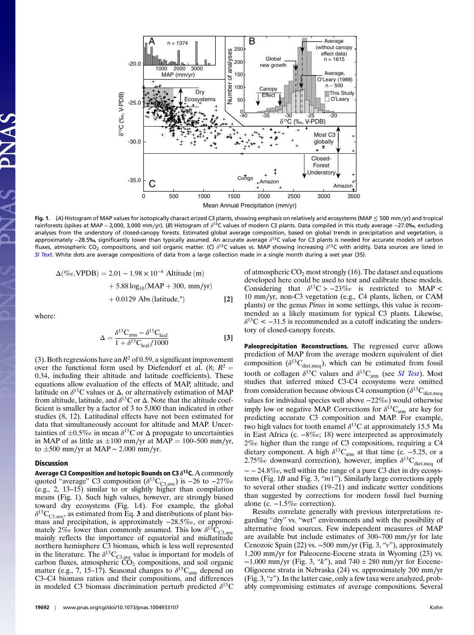

Fig. 1. (A) Histogram of MAP values for isotopically charact.erized C3 plants, showing emphasis on relatively arid ecosystems (MAP ≤ 500 mm∕yr) and tropical rainforests (spikes at MAP ~ 2,000, 3,000 mm/yr). (B) Histogram of δ<sup>13</sup>C values of modern C3 plants. Data compiled in this study average −27.0‰, excluding analyses from the understory of closed-canopy forests. Estimated global average composition, based on global trends in precipitation and vegetation, is approximately −28.5‰, significantly lower than typically assumed. An accurate average δ<sup>13</sup>C value for C3 plants is needed for accurate models of carbon fluxes, atmospheric CO<sub>2</sub> compositions, and soil organic matter. (C)  $\delta^{13}$ C values vs. MAP showing increasing  $\delta^{13}$ C with aridity. Data sources are listed in [SI Text](http://www.pnas.org/lookup/suppl/doi:10.1073/pnas.1004933107/-/DCSupplemental/pnas.1004933107_SI.pdf?targetid=STXT). White dots are average compositions of data from a large collection made in a single month during a wet year (35).

$$
\Delta(\%o, \text{VPDB}) = 2.01 - 1.98 \times 10^{-4} \text{ Altitude (m)}+ 5.88 \log_{10}(\text{MAP} + 300, \text{ mm/yr})+ 0.0129 \text{ Abs (latitude,}^{\circ})
$$
[2]

where:

$$
\Delta = \frac{\delta^{13} \text{C}_{\text{atm}} - \delta^{13} \text{C}_{\text{leaf}}}{1 + \delta^{13} \text{C}_{\text{leaf}} / 1000}
$$
 [3]

(3). Both regressions have an  $R^2$  of 0.59, a significant improvement over the functional form used by Diefendorf et al. (8;  $R^2 =$ 0.34, including their altitude and latitude coefficients). These equations allow evaluation of the effects of MAP, altitude, and latitude on  $\delta^{13}$ C values or  $\Delta$ , or alternatively estimation of MAP from altitude, latitude, and  $\delta^{13}$ C or  $\Delta$ . Note that the altitude coefficient is smaller by a factor of 3 to 5,000 than indicated in other studies (8, 12). Latitudinal effects have not been estimated for data that simultaneously account for altitude and MAP. Uncertainties of  $\pm 0.5\%$  in mean  $\delta^{13}$ C or  $\Delta$  propagate to uncertainties in MAP of as little as  $\pm 100$  mm/yr at MAP = 100–500 mm/yr, to  $±500$  mm/yr at MAP ~ 2,000 mm/yr.

#### Discussion

Average C3 Composition and Isotopic Bounds on C3  $\delta^{13}$ C. A commonly quoted "average" C3 composition ( $\delta^{13}C_{C3,ave}$ ) is −26 to −27‰ (e.g., 2, 13–15) similar to or slightly higher than compilation means (Fig. 1). Such high values, however, are strongly biased toward dry ecosystems (Fig. 1A). For example, the global  $\delta^{13}C_{C3,ave}$ , as estimated from Eq. 3 and distributions of plant biomass and precipitation, is approximately −28.5‰, or approximately 2‰ lower than commonly assumed. This low  $\delta^{13}$ C<sub>C3,ave</sub> mainly reflects the importance of equatorial and midlatitude northern hemisphere C3 biomass, which is less well represented in the literature. The  $\delta^{13}C_{C3,ave}$  value is important for models of carbon fluxes, atmospheric  $CO<sub>2</sub>$  compositions, and soil organic matter (e.g., 7, 15–17). Seasonal changes to  $\delta^{13}C_{\text{atm}}$  depend on C3–C4 biomass ratios and their compositions, and differences in modeled C3 biomass discrimination perturb predicted  $\delta^{13}$ C of atmospheric  $CO_2$  most strongly (16). The dataset and equations developed here could be used to test and calibrate these models. Considering that  $\delta^{13}C > -23\%$  is restricted to MAP < 10 mm∕yr, non-C3 vegetation (e.g., C4 plants, lichen, or CAM plants) or the genus Pinus in some settings, this value is recommended as a likely maximum for typical C3 plants. Likewise,  $\delta^{13}$ C < -31.5 is recommended as a cutoff indicating the understory of closed-canopy forests.

Paleoprecipitation Reconstructions. The regressed curve allows prediction of MAP from the average modern equivalent of diet composition ( $\delta^{13}C_{\text{dict,meq}}$ ), which can be estimated from fossil tooth or collagen  $\delta^{13}$ C values and  $\delta^{13}C_{\text{atm}}$  (see *[SI Text](http://www.pnas.org/lookup/suppl/doi:10.1073/pnas.1004933107/-/DCSupplemental/pnas.1004933107_SI.pdf?targetid=STXT)*). Most studies that inferred mixed C3-C4 ecosystems were omitted from consideration because obvious C4 consumption ( $\delta^{13}C_{\text{dict,meq}}$ ) values for individual species well above −22‰) would otherwise imply low or negative MAP. Corrections for  $\delta^{13}C_{\text{atm}}$  are key for predicting accurate C3 composition and MAP. For example, two high values for tooth enamel  $\delta^{13}$ C at approximately 15.5 Ma in East Africa (c. −8‰; 18) were interpreted as approximately 2‰ higher than the range of C3 compositions, requiring a C4 dietary component. A high  $\delta^{13}C_{\text{atm}}$  at that time (c. -5.25, or a 2.75‰ downward correction), however, implies  $\delta^{13}C_{\text{dict,meq}}$  of  $\sim$  − 24.8‰, well within the range of a pure C3 diet in dry ecosystems (Fig.  $1B$  and Fig. 3, " $m1$ "). Similarly large corrections apply to several other studies (19–21) and indicate wetter conditions than suggested by corrections for modern fossil fuel burning alone (c. −1.5‰ correction).

Results correlate generally with previous interpretations regarding "dry" vs. "wet" environments and with the possibility of alternative food sources. Few independent measures of MAP are available but include estimates of 300–700 mm∕yr for late Cenozoic Spain (22) vs. ∼500 mm∕yr (Fig. 3, "v"), approximately 1;200 mm∕yr for Paleocene-Eocene strata in Wyoming (23) vs. ~1,000 mm/yr (Fig. 3, "k"), and  $740 \pm 280$  mm/yr for Eocene-Oligocene strata in Nebraska (24) vs. approximately 200 mm∕yr (Fig. 3, "z"). In the latter case, only a few taxa were analyzed, probably compromising estimates of average compositions. Several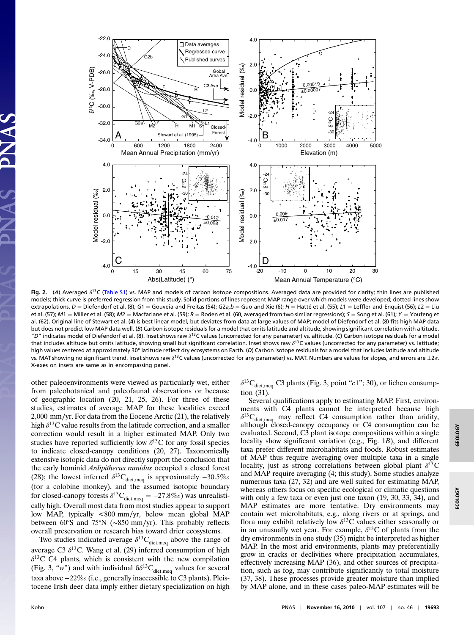

Fig. 2. (A) Averaged  $\delta^{13}$ C [\(Table S1](http://www.pnas.org/lookup/suppl/doi:10.1073/pnas.1004933107/-/DCSupplemental/pnas.1004933107_SI.pdf?targetid=ST1)) vs. MAP and models of carbon isotope compositions. Averaged data are provided for clarity; thin lines are published models; thick curve is preferred regression from this study. Solid portions of lines represent MAP range over which models were developed; dotted lines show extrapolations. D = Diefendorf et al. (8); G1 = Gouveia and Freitas (54); G2a,b = Guo and Xie (6); H = Hatté et al. (55); L1 = Leffler and Enquist (56); L2 = Liu et al. (57); M1 = Miller et al. (58); M2 = Macfarlane et al. (59); R = Roden et al. (60, averaged from two similar regressions); S = Song et al. (61); Y = Youfeng et al. (62). Original line of Stewart et al. (4) is best linear model, but deviates from data at large values of MAP; model of Diefendorf et al. (8) fits high MAP data but does not predict low MAP data well. (B) Carbon isotope residuals for a model that omits latitude and altitude, showing significant correlation with altitude. "D" indicates model of Diefendorf et al. (8). Inset shows raw δ<sup>13</sup>C values (uncorrected for any parameter) vs. altitude. (C) Carbon isotope residuals for a model that includes altitude but omits latitude, showing small but significant correlation. Inset shows raw  $\delta^{13}$ C values (uncorrected for any parameter) vs. latitude; high values centered at approximately 30° latitude reflect dry ecosystems on Earth. (D) Carbon isotope residuals for a model that includes latitude and altitude vs. MAT showing no significant trend. Inset shows raw  $\delta^{13}$ C values (uncorrected for any parameter) vs. MAT. Numbers are values for slopes, and errors are  $\pm 2\sigma$ . X-axes on insets are same as in encompassing panel.

other paleoenvironments were viewed as particularly wet, either from paleobotanical and paleofaunal observations or because of geographic location (20, 21, 25, 26). For three of these studies, estimates of average MAP for these localities exceed 2;000 mm∕yr. For data from the Eocene Arctic (21), the relatively high  $\delta^{13}$ C value results from the latitude correction, and a smaller correction would result in a higher estimated MAP. Only two studies have reported sufficiently low  $\delta^{13}$ C for any fossil species to indicate closed-canopy conditions (20, 27). Taxonomically extensive isotopic data do not directly support the conclusion that the early hominid Ardipithecus ramidus occupied a closed forest (28); the lowest inferred  $\delta^{13}C_{\text{dict,meq}}$  is approximately  $-30.5\%$ (for a colobine monkey), and the assumed isotopic boundary for closed-canopy forests  $\delta^{13}C_{\text{dict,meq}} = -27.8\%$  was unrealistically high. Overall most data from most studies appear to support low MAP, typically <800 mm∕yr, below mean global MAP between 60°S and 75°N (∼850 mm∕yr). This probably reflects overall preservation or research bias toward drier ecosystems.

Two studies indicated average  $\delta^{13}C_{\text{dict,meq}}$  above the range of average C3  $\delta^{13}$ C. Wang et al. (29) inferred consumption of high  $\delta^{13}$ C C4 plants, which is consistent with the new compilation (Fig. 3, "w") and with individual  $\delta \delta^{13}C_{\text{dict,meq}}$  values for several taxa above −22‰(i.e., generally inaccessible to C3 plants). Pleistocene Irish deer data imply either dietary specialization on high

 $\delta^{13}C_{\text{diet,meq}}$  C3 plants (Fig. 3, point "c1"; 30), or lichen consumption (31).

Several qualifications apply to estimating MAP. First, environments with C4 plants cannot be interpreted because high  $\delta^{13}C_{\text{det,meq}}$  may reflect C4 consumption rather than aridity, although closed-canopy occupancy or C4 consumption can be evaluated. Second, C3 plant isotope compositions within a single locality show significant variation (e.g., Fig. 1B), and different taxa prefer different microhabitats and foods. Robust estimates of MAP thus require averaging over multiple taxa in a single locality, just as strong correlations between global plant  $\delta^{13}$ C and MAP require averaging (4; this study). Some studies analyze numerous taxa (27, 32) and are well suited for estimating MAP, whereas others focus on specific ecological or climatic questions with only a few taxa or even just one taxon (19, 30, 33, 34), and MAP estimates are more tentative. Dry environments may contain wet microhabitats, e.g., along rivers or at springs, and flora may exhibit relatively low  $\delta^{13}$ C values either seasonally or in an unusually wet year. For example,  $\delta^{13}$ C of plants from the dry environments in one study (35) might be interpreted as higher MAP. In the most arid environments, plants may preferentially grow in cracks or declivities where precipitation accumulates, effectively increasing MAP (36), and other sources of precipitation, such as fog, may contribute significantly to total moisture (37, 38). These processes provide greater moisture than implied by MAP alone, and in these cases paleo-MAP estimates will be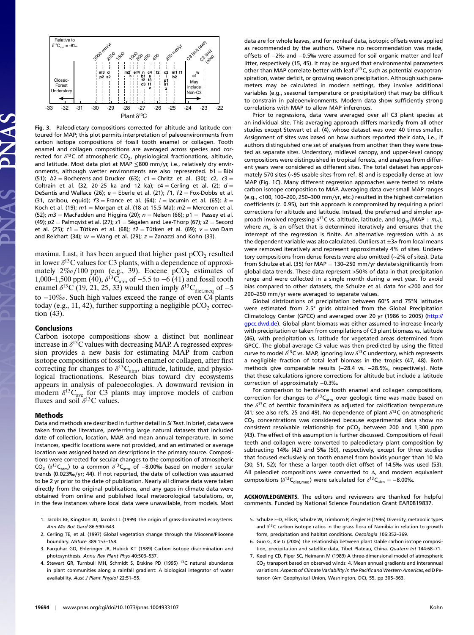

Fig. 3. Paleodietary compositions corrected for altitude and latitude contoured for MAP; this plot permits interpretation of paleoenvironments from carbon isotope compositions of fossil tooth enamel or collagen. Tooth enamel and collagen compositions are averaged across species and corrected for  $\delta^{13}$ C of atmospheric CO<sub>2</sub>, physiological fractionations, altitude, and latitude. Most data plot at MAP ≤800 mm∕yr, i.e., relatively dry environments, although wetter environments are also represented.  $b1 = Bibi$ (51);  $b2 =$  Bocherens and Drucker (63);  $c1 =$  Chritz et al. (30); c2, c3 = Coltrain et al. (32, 20-25 ka and 12 ka);  $c4 =$  Cerling et al. (2);  $d =$ DeSantis and Wallace (26);  $e =$  Eberle et al. (21);  $f1$ ,  $f2 =$  Fox-Dobbs et al. (31, caribou, equid);  $f3$  = France et al. (64);  $i$  = lacumin et al. (65);  $k =$ Koch et al. (19);  $m1 =$  Morgan et al. (18 at 15.5 Ma);  $m2 =$  Merceron et al. (52);  $m3$  = MacFadden and Higgins (20);  $n$  = Nelson (66);  $p1$  = Passey et al. (49);  $p2$  = Palmqvist et al. (27); s1 = Ségalen and Lee-Thorp (67); s2 = Secord et al. (25);  $t1 =$ Tütken et al. (68);  $t2 =$ Tütken et al. (69);  $v =$  van Dam and Reichart (34);  $w =$  Wang et al. (29);  $z =$  Zanazzi and Kohn (33).

maxima. Last, it has been argued that higher past  $pCO<sub>2</sub>$  resulted in lower  $\delta^{13}$ C values for C3 plants, with a dependence of approximately  $2\%$ o/100 ppm (e.g., 39). Eocene pCO<sub>2</sub> estimates of 1,000–1,500 ppm (40),  $\delta^{13}$ C<sub>atm</sub> of −5.5 to −6 (41) and fossil tooth enamel  $\delta^{13}$ C (19, 21, 25, 33) would then imply  $\delta^{13}$ C<sub>diet,meq</sub> of −5 to −10‰. Such high values exceed the range of even C4 plants today (e.g., 11, 42), further supporting a negligible  $pCO<sub>2</sub>$  correction (43).

#### Conclusions

Carbon isotope compositions show a distinct but nonlinear increase in  $\delta^{13}$ C values with decreasing MAP. A regressed expression provides a new basis for estimating MAP from carbon isotope compositions of fossil tooth enamel or collagen, after first correcting for changes to  $\delta^{13}C_{\text{atm}}$ , altitude, latitude, and physiological fractionations. Research bias toward dry ecosystems appears in analysis of paleoecologies. A downward revision in modern  $\delta^{13}C_{\text{ave}}$  for C3 plants may improve models of carbon fluxes and soil  $\delta^{13}$ C values.

#### Methods

Data and methods are described in further detail in SI Text. In brief, data were taken from the literature, preferring large natural datasets that included date of collection, location, MAP, and mean annual temperature. In some instances, specific locations were not provided, and an estimated or average location was assigned based on descriptions in the primary source. Compositions were corrected for secular changes to the composition of atmospheric CO<sub>2</sub> ( $\delta^{13}C_{atm}$ ) to a common  $\delta^{13}C_{atm}$  of -8.00‰ based on modern secular trends (0.023‰∕yr; 44). If not reported, the date of collection was assumed to be 2 yr prior to the date of publication. Nearly all climate data were taken directly from the original publications, and any gaps in climate data were obtained from online and published local meteorological tabulations, or, in the few instances where local data were unavailable, from models. Most

- 1. Jacobs BF, Kingston JD, Jacobs LL (1999) The origin of grass-dominated ecosystems. Ann Mo Bot Gard 86:590–643.
- 2. Cerling TE, et al. (1997) Global vegetation change through the Miocene/Pliocene boundary. Nature 389:153–158.
- 3. Farquhar GD, Ehleringer JR, Hubick KT (1989) Carbon isotope discrimination and photosynthesis. Annu Rev Plant Phys 40:503–537.
- 4. Stewart GR, Turnbull MH, Schmidt S, Erskine PD (1995) <sup>13</sup>C natural abundance in plant communities along a rainfall gradient: A biological integrator of water availability. Aust J Plant Physiol 22:51–55.

data are for whole leaves, and for nonleaf data, isotopic offsets were applied as recommended by the authors. Where no recommendation was made, offsets of −2‰ and −0.5‰ were assumed for soil organic matter and leaf litter, respectively (15, 45). It may be argued that environmental parameters other than MAP correlate better with leaf  $\delta^{13}$ C, such as potential evapotranspiration, water deficit, or growing season precipitation. Although such parameters may be calculated in modern settings, they involve additional variables (e.g., seasonal temperature or precipitation) that may be difficult to constrain in paleoenvironments. Modern data show sufficiently strong correlations with MAP to allow MAP inferences.

Prior to regressions, data were averaged over all C3 plant species at an individual site. This averaging approach differs markedly from all other studies except Stewart et al. (4), whose dataset was over 40 times smaller. Assignment of sites was based on how authors reported their data, i.e., if authors distinguished one set of analyses from another then they were treated as separate sites. Understory, midlevel canopy, and upper-level canopy compositions were distinguished in tropical forests, and analyses from different years were considered as different sites. The total dataset has approximately 570 sites (∼95 usable sites from ref. 8) and is especially dense at low MAP (Fig. 1C). Many different regression approaches were tested to relate carbon isotope composition to MAP. Averaging data over small MAP ranges (e.g., <100, 100–200, 250–300 mm∕yr, etc.) resulted in the highest correlation coefficients (c. 0.95), but this approach is compromised by requiring a priori corrections for altitude and latitude. Instead, the preferred and simpler approach involved regressing  $\delta^{13}$ C vs. altitude, latitude, and log<sub>10</sub> (MAP  $+m_o$ ), where  $m<sub>o</sub>$  is an offset that is determined iteratively and ensures that the intercept of the regression is finite. An alternative regression with Δ as the dependent variable was also calculated. Outliers at  $\pm 3\sigma$  from local means were removed iteratively and represent approximately 4% of sites. Understory compositions from dense forests were also omitted (∼2% of sites). Data from Schulze et al. (35) for MAP = 130–250 mm/yr deviate significantly from global data trends. These data represent >50% of data in that precipitation range and were collected in a single month during a wet year. To avoid bias compared to other datasets, the Schulze et al. data for <200 and for 200–250 mm∕yr were averaged to separate values.

Global distributions of precipitation between 60°S and 75°N latitudes were estimated from 2.5° grids obtained from the Global Precipitation Climatology Center (GPCC) and averaged over 20 yr (1986 to 2005) [\(http://](http://gpcc.dwd.de) [gpcc.dwd.de](http://gpcc.dwd.de)). Global plant biomass was either assumed to increase linearly with precipitation or taken from compilations of C3 plant biomass vs. latitude (46), with precipitation vs. latitude for vegetated areas determined from GPCC. The global average C3 value was then predicted by using the fitted curve to model  $\delta^{13}$ C vs. MAP, ignoring low  $\delta^{13}$ C understory, which represents a negligible fraction of total leaf biomass in the tropics (47, 48). Both methods give comparable results (-28.4 vs. -28.5‰, respectively). Note that these calculations ignore corrections for altitude but include a latitude correction of approximately −0.3‰.

For comparison to herbivore tooth enamel and collagen compositions, correction for changes to  $\delta^{13}C_{\text{atm}}$  over geologic time was made based on the  $\delta^{13}$ C of benthic foraminifera as adjusted for calcification temperature (41; see also refs. 25 and 49). No dependence of plant  $\delta^{13}$ C on atmospheric  $CO<sub>2</sub>$  concentrations was considered because experimental data show no consistent resolvable relationship for  $pCO<sub>2</sub>$  between 200 and 1,300 ppm (43). The effect of this assumption is further discussed. Compositions of fossil teeth and collagen were converted to paleodietary plant composition by subtracting 14‰ (42) and 5‰ (50), respectively, except for three studies that focused exclusively on tooth enamel from bovids younger than 10 Ma (30, 51, 52); for these a larger tooth-diet offset of 14.5‰ was used (53). All paleodiet compositions were converted to Δ, and modern equivalent compositions ( $\delta^{13}C_{\text{det,meq}}$ ) were calculated for  $\delta^{13}C_{\text{atm}} = -8.00\%$ .

ACKNOWLEDGMENTS. The editors and reviewers are thanked for helpful comments. Funded by National Science Foundation Grant EAR0819837.

- 5. Schulze E-D, Ellis R, Schulze W, Trimborn P, Ziegler H (1996) Diversity, metabolic types and  $\delta^{13}$ C carbon isotope ratios in the grass flora of Namibia in relation to growth form, precipitation and habitat conditions. Oecologia 106:352–369.
- 6. Guo G, Xie G (2006) The relationship between plant stable carbon isotope composition, precipitation and satellite data, Tibet Plateau, China. Quatern Int 144:68–71.
- 7. Keeling CD, Piper SC, Heimann M (1989) A three-dimensional model of atmospheric CO<sub>2</sub> transport based on observed winds: 4. Mean annual gradients and interannual variations. Aspects of Climate Variability in the Pacific and Western Americas, ed D Peterson (Am Geophysical Union, Washington, DC), 55, pp 305–363.